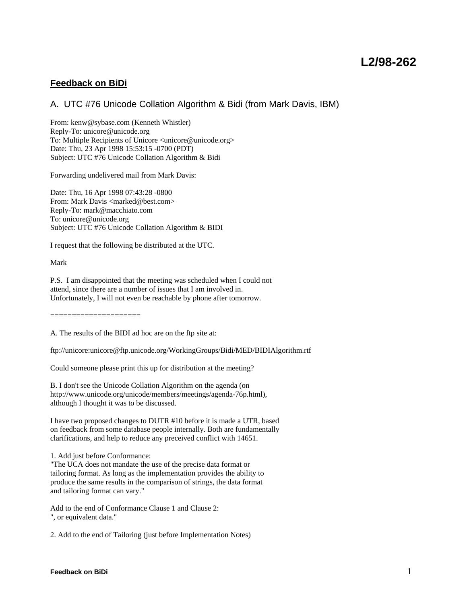# **Feedback on BiDi**

# A. UTC #76 Unicode Collation Algorithm & Bidi (from Mark Davis, IBM)

From: kenw@sybase.com (Kenneth Whistler) Reply-To: unicore@unicode.org To: Multiple Recipients of Unicore <unicore@unicode.org> Date: Thu, 23 Apr 1998 15:53:15 -0700 (PDT) Subject: UTC #76 Unicode Collation Algorithm & Bidi

Forwarding undelivered mail from Mark Davis:

Date: Thu, 16 Apr 1998 07:43:28 -0800 From: Mark Davis <marked@best.com> Reply-To: mark@macchiato.com To: unicore@unicode.org Subject: UTC #76 Unicode Collation Algorithm & BIDI

I request that the following be distributed at the UTC.

Mark

P.S. I am disappointed that the meeting was scheduled when I could not attend, since there are a number of issues that I am involved in. Unfortunately, I will not even be reachable by phone after tomorrow.

=====================

A. The results of the BIDI ad hoc are on the ftp site at:

ftp://unicore:unicore@ftp.unicode.org/WorkingGroups/Bidi/MED/BIDIAlgorithm.rtf

Could someone please print this up for distribution at the meeting?

B. I don't see the Unicode Collation Algorithm on the agenda (on http://www.unicode.org/unicode/members/meetings/agenda-76p.html), although I thought it was to be discussed.

I have two proposed changes to DUTR #10 before it is made a UTR, based on feedback from some database people internally. Both are fundamentally clarifications, and help to reduce any preceived conflict with 14651.

1. Add just before Conformance:

"The UCA does not mandate the use of the precise data format or tailoring format. As long as the implementation provides the ability to produce the same results in the comparison of strings, the data format and tailoring format can vary."

Add to the end of Conformance Clause 1 and Clause 2: ", or equivalent data."

2. Add to the end of Tailoring (just before Implementation Notes)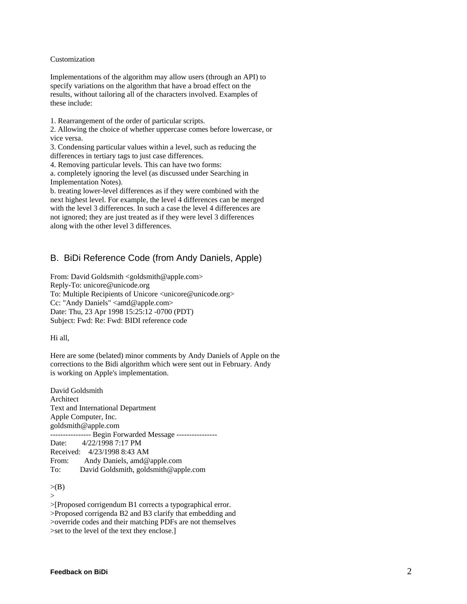#### Customization

Implementations of the algorithm may allow users (through an API) to specify variations on the algorithm that have a broad effect on the results, without tailoring all of the characters involved. Examples of these include:

1. Rearrangement of the order of particular scripts.

2. Allowing the choice of whether uppercase comes before lowercase, or vice versa.

3. Condensing particular values within a level, such as reducing the differences in tertiary tags to just case differences.

4. Removing particular levels. This can have two forms:

a. completely ignoring the level (as discussed under Searching in Implementation Notes).

b. treating lower-level differences as if they were combined with the next highest level. For example, the level 4 differences can be merged with the level 3 differences. In such a case the level 4 differences are not ignored; they are just treated as if they were level 3 differences along with the other level 3 differences.

### B. BiDi Reference Code (from Andy Daniels, Apple)

From: David Goldsmith <goldsmith@apple.com> Reply-To: unicore@unicode.org To: Multiple Recipients of Unicore <unicore@unicode.org> Cc: "Andy Daniels" <amd@apple.com> Date: Thu, 23 Apr 1998 15:25:12 -0700 (PDT) Subject: Fwd: Re: Fwd: BIDI reference code

Hi all,

Here are some (belated) minor comments by Andy Daniels of Apple on the corrections to the Bidi algorithm which were sent out in February. Andy is working on Apple's implementation.

David Goldsmith Architect Text and International Department Apple Computer, Inc. goldsmith@apple.com ---------------- Begin Forwarded Message ---------------- Date: 4/22/1998 7:17 PM Received: 4/23/1998 8:43 AM From: Andy Daniels, amd@apple.com To: David Goldsmith, goldsmith@apple.com

 $\rightarrow$ 

>[Proposed corrigendum B1 corrects a typographical error. >Proposed corrigenda B2 and B3 clarify that embedding and >override codes and their matching PDFs are not themselves >set to the level of the text they enclose.]

 $> (B)$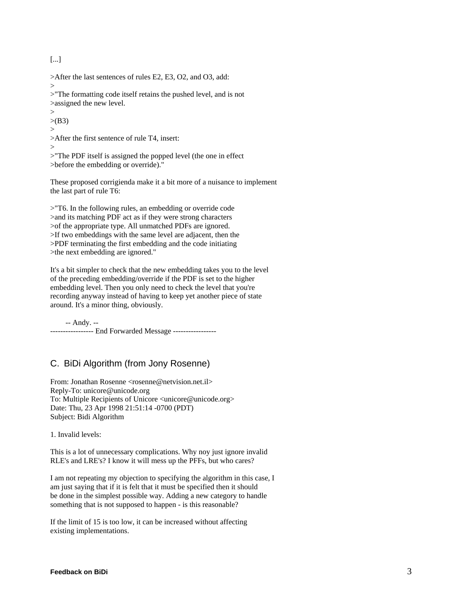[...]

>After the last sentences of rules E2, E3, O2, and O3, add:

 $>$ 

>"The formatting code itself retains the pushed level, and is not >assigned the new level.

 $\geq$  $>(B3)$ >

>After the first sentence of rule T4, insert:

>

>"The PDF itself is assigned the popped level (the one in effect >before the embedding or override)."

These proposed corrigienda make it a bit more of a nuisance to implement the last part of rule T6:

>"T6. In the following rules, an embedding or override code >and its matching PDF act as if they were strong characters >of the appropriate type. All unmatched PDFs are ignored. >If two embeddings with the same level are adjacent, then the >PDF terminating the first embedding and the code initiating >the next embedding are ignored."

It's a bit simpler to check that the new embedding takes you to the level of the preceding embedding/override if the PDF is set to the higher embedding level. Then you only need to check the level that you're recording anyway instead of having to keep yet another piece of state around. It's a minor thing, obviously.

 -- Andy. -- ----------------- End Forwarded Message -----------------

# C. BiDi Algorithm (from Jony Rosenne)

From: Jonathan Rosenne <rosenne@netvision.net.il> Reply-To: unicore@unicode.org To: Multiple Recipients of Unicore <unicore@unicode.org> Date: Thu, 23 Apr 1998 21:51:14 -0700 (PDT) Subject: Bidi Algorithm

1. Invalid levels:

This is a lot of unnecessary complications. Why noy just ignore invalid RLE's and LRE's? I know it will mess up the PFFs, but who cares?

I am not repeating my objection to specifying the algorithm in this case, I am just saying that if it is felt that it must be specified then it should be done in the simplest possible way. Adding a new category to handle something that is not supposed to happen - is this reasonable?

If the limit of 15 is too low, it can be increased without affecting existing implementations.